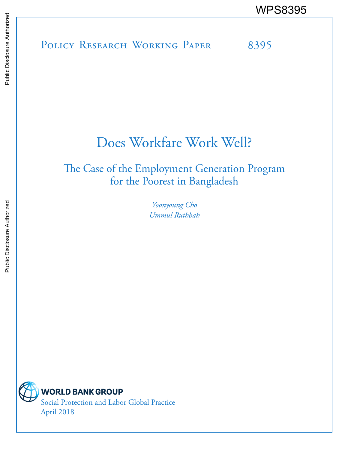POLICY RESEARCH WORKING PAPER 8395 WPS8395

# Does Workfare Work Well?

The Case of the Employment Generation Program for the Poorest in Bangladesh

> *Yoonyoung Cho Ummul Ruthbah*



Social Protection and Labor Global Practice April 2018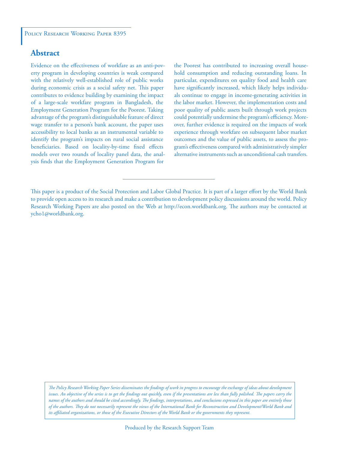# **Abstract**

Evidence on the effectiveness of workfare as an anti-poverty program in developing countries is weak compared with the relatively well-established role of public works during economic crisis as a social safety net. This paper contributes to evidence building by examining the impact of a large-scale workfare program in Bangladesh, the Employment Generation Program for the Poorest. Taking advantage of the program's distinguishable feature of direct wage transfer to a person's bank account, the paper uses accessibility to local banks as an instrumental variable to identify the program's impacts on rural social assistance beneficiaries. Based on locality-by-time fixed effects models over two rounds of locality panel data, the analysis finds that the Employment Generation Program for

the Poorest has contributed to increasing overall household consumption and reducing outstanding loans. In particular, expenditures on quality food and health care have significantly increased, which likely helps individuals continue to engage in income-generating activities in the labor market. However, the implementation costs and poor quality of public assets built through work projects could potentially undermine the program's efficiency. Moreover, further evidence is required on the impacts of work experience through workfare on subsequent labor market outcomes and the value of public assets, to assess the program's effectiveness compared with administratively simpler alternative instruments such as unconditional cash transfers.

*The Policy Research Working Paper Series disseminates the findings of work in progress to encourage the exchange of ideas about development*  issues. An objective of the series is to get the findings out quickly, even if the presentations are less than fully polished. The papers carry the *names of the authors and should be cited accordingly. The findings, interpretations, and conclusions expressed in this paper are entirely those of the authors. They do not necessarily represent the views of the International Bank for Reconstruction and Development/World Bank and its affiliated organizations, or those of the Executive Directors of the World Bank or the governments they represent.*

This paper is a product of the Social Protection and Labor Global Practice. It is part of a larger effort by the World Bank to provide open access to its research and make a contribution to development policy discussions around the world. Policy Research Working Papers are also posted on the Web at http://econ.worldbank.org. The authors may be contacted at ycho1@worldbank.org.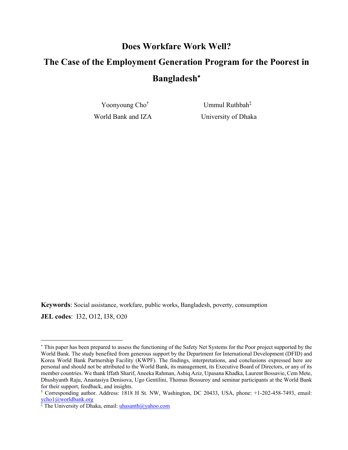# **Does Workfare Work Well? The Case of the Employment Generation Program for the Poorest in Bangladesh**

Yoonyoung Cho†

 Ummul Ruthbah‡ World Bank and IZA University of Dhaka

**Keywords**: Social assistance, workfare, public works, Bangladesh, poverty, consumption

**JEL codes**: I32, O12, I38, O20

 This paper has been prepared to assess the functioning of the Safety Net Systems for the Poor project supported by the World Bank. The study benefited from generous support by the Department for International Development (DFID) and Korea World Bank Partnership Facility (KWPF). The findings, interpretations, and conclusions expressed here are personal and should not be attributed to the World Bank, its management, its Executive Board of Directors, or any of its member countries. We thank Iffath Sharif, Aneeka Rahman, Ashiq Aziz, Upasana Khadka, Laurent Bossavie, Cem Mete, Dhushyanth Raju, Anastasiya Denisova, Ugo Gentilini, Thomas Bossuroy and seminar participants at the World Bank for their support, feedback, and insights.

<sup>†</sup> Corresponding author. Address: 1818 H St. NW, Washington, DC 20433, USA, phone: +1-202-458-7493, email: ycho1@worldbank.org

<sup>‡</sup> The University of Dhaka, email: *uhasanth@yahoo.com*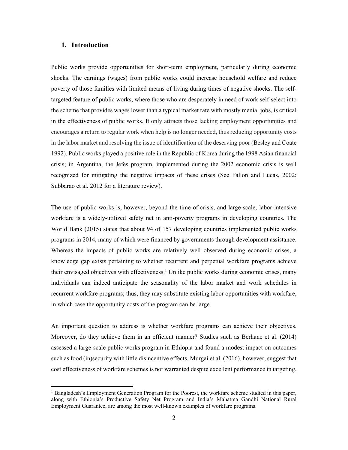## **1. Introduction**

 $\overline{a}$ 

Public works provide opportunities for short-term employment, particularly during economic shocks. The earnings (wages) from public works could increase household welfare and reduce poverty of those families with limited means of living during times of negative shocks. The selftargeted feature of public works, where those who are desperately in need of work self-select into the scheme that provides wages lower than a typical market rate with mostly menial jobs, is critical in the effectiveness of public works. It only attracts those lacking employment opportunities and encourages a return to regular work when help is no longer needed, thus reducing opportunity costs in the labor market and resolving the issue of identification of the deserving poor (Besley and Coate 1992). Public works played a positive role in the Republic of Korea during the 1998 Asian financial crisis; in Argentina, the Jefes program, implemented during the 2002 economic crisis is well recognized for mitigating the negative impacts of these crises (See Fallon and Lucas, 2002; Subbarao et al. 2012 for a literature review).

The use of public works is, however, beyond the time of crisis, and large-scale, labor-intensive workfare is a widely-utilized safety net in anti-poverty programs in developing countries. The World Bank (2015) states that about 94 of 157 developing countries implemented public works programs in 2014, many of which were financed by governments through development assistance. Whereas the impacts of public works are relatively well observed during economic crises, a knowledge gap exists pertaining to whether recurrent and perpetual workfare programs achieve their envisaged objectives with effectiveness.<sup>1</sup> Unlike public works during economic crises, many individuals can indeed anticipate the seasonality of the labor market and work schedules in recurrent workfare programs; thus, they may substitute existing labor opportunities with workfare, in which case the opportunity costs of the program can be large.

An important question to address is whether workfare programs can achieve their objectives. Moreover, do they achieve them in an efficient manner? Studies such as Berhane et al. (2014) assessed a large-scale public works program in Ethiopia and found a modest impact on outcomes such as food (in)security with little disincentive effects. Murgai et al. (2016), however, suggest that cost effectiveness of workfare schemes is not warranted despite excellent performance in targeting,

<sup>&</sup>lt;sup>1</sup> Bangladesh's Employment Generation Program for the Poorest, the workfare scheme studied in this paper, along with Ethiopia's Productive Safety Net Program and India's Mahatma Gandhi National Rural Employment Guarantee, are among the most well-known examples of workfare programs.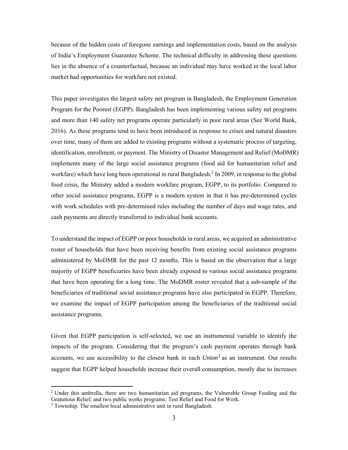because of the hidden costs of foregone earnings and implementation costs, based on the analysis of India's Employment Guarantee Scheme. The technical difficulty in addressing these questions lies in the absence of a counterfactual, because an individual may have worked in the local labor market had opportunities for workfare not existed.

This paper investigates the largest safety net program in Bangladesh, the Employment Generation Program for the Poorest (EGPP). Bangladesh has been implementing various safety net programs and more than 140 safety net programs operate particularly in poor rural areas (See World Bank, 2016). As these programs tend to have been introduced in response to crises and natural disasters over time, many of them are added to existing programs without a systematic process of targeting, identification, enrollment, or payment. The Ministry of Disaster Management and Relief (MoDMR) implements many of the large social assistance programs (food aid for humanitarian relief and workfare) which have long been operational in rural Bangladesh.<sup>2</sup> In 2009, in response to the global food crisis, the Ministry added a modern workfare program, EGPP, to its portfolio. Compared to other social assistance programs, EGPP is a modern system in that it has pre-determined cycles with work schedules with pre-determined rules including the number of days and wage rates, and cash payments are directly transferred to individual bank accounts.

To understand the impact of EGPP on poor households in rural areas, we acquired an administrative roster of households that have been receiving benefits from existing social assistance programs administered by MoDMR for the past 12 months. This is based on the observation that a large majority of EGPP beneficiaries have been already exposed to various social assistance programs that have been operating for a long time. The MoDMR roster revealed that a sub-sample of the beneficiaries of traditional social assistance programs have also participated in EGPP. Therefore, we examine the impact of EGPP participation among the beneficiaries of the traditional social assistance programs.

Given that EGPP participation is self-selected, we use an instrumental variable to identify the impacts of the program. Considering that the program's cash payment operates through bank accounts, we use accessibility to the closest bank in each *Union*<sup>3</sup> as an instrument. Our results suggest that EGPP helped households increase their overall consumption, mostly due to increases

<sup>&</sup>lt;sup>2</sup> Under this umbrella, there are two humanitarian aid programs, the Vulnerable Group Feeding and the Gratuitous Relief, and two public works programs: Test Relief and Food for Work.

<sup>&</sup>lt;sup>3</sup> Township. The smallest local administrative unit in rural Bangladesh.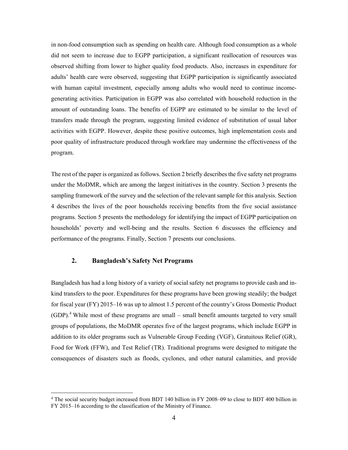in non-food consumption such as spending on health care. Although food consumption as a whole did not seem to increase due to EGPP participation, a significant reallocation of resources was observed shifting from lower to higher quality food products. Also, increases in expenditure for adults' health care were observed, suggesting that EGPP participation is significantly associated with human capital investment, especially among adults who would need to continue incomegenerating activities. Participation in EGPP was also correlated with household reduction in the amount of outstanding loans. The benefits of EGPP are estimated to be similar to the level of transfers made through the program, suggesting limited evidence of substitution of usual labor activities with EGPP. However, despite these positive outcomes, high implementation costs and poor quality of infrastructure produced through workfare may undermine the effectiveness of the program.

The rest of the paper is organized as follows. Section 2 briefly describes the five safety net programs under the MoDMR, which are among the largest initiatives in the country. Section 3 presents the sampling framework of the survey and the selection of the relevant sample for this analysis. Section 4 describes the lives of the poor households receiving benefits from the five social assistance programs. Section 5 presents the methodology for identifying the impact of EGPP participation on households' poverty and well-being and the results. Section 6 discusses the efficiency and performance of the programs. Finally, Section 7 presents our conclusions.

## **2. Bangladesh's Safety Net Programs**

 $\overline{a}$ 

Bangladesh has had a long history of a variety of social safety net programs to provide cash and inkind transfers to the poor. Expenditures for these programs have been growing steadily; the budget for fiscal year (FY) 2015–16 was up to almost 1.5 percent of the country's Gross Domestic Product  $(GDP)<sup>4</sup>$  While most of these programs are small – small benefit amounts targeted to very small groups of populations, the MoDMR operates five of the largest programs, which include EGPP in addition to its older programs such as Vulnerable Group Feeding (VGF), Gratuitous Relief (GR), Food for Work (FFW), and Test Relief (TR). Traditional programs were designed to mitigate the consequences of disasters such as floods, cyclones, and other natural calamities, and provide

<sup>4</sup> The social security budget increased from BDT 140 billion in FY 2008–09 to close to BDT 400 billion in FY 2015–16 according to the classification of the Ministry of Finance.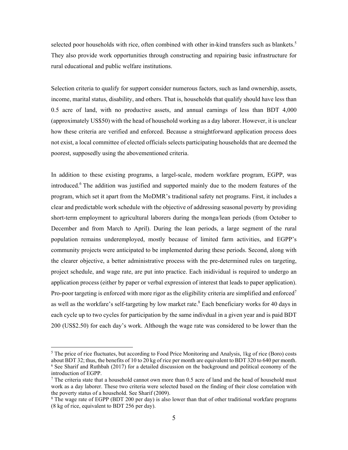selected poor households with rice, often combined with other in-kind transfers such as blankets.<sup>5</sup> They also provide work opportunities through constructing and repairing basic infrastructure for rural educational and public welfare institutions.

Selection criteria to qualify for support consider numerous factors, such as land ownership, assets, income, marital status, disability, and others. That is, households that qualify should have less than 0.5 acre of land, with no productive assets, and annual earnings of less than BDT 4,000 (approximately US\$50) with the head of household working as a day laborer. However, it is unclear how these criteria are verified and enforced. Because a straightforward application process does not exist, a local committee of elected officials selects participating households that are deemed the poorest, supposedly using the abovementioned criteria.

In addition to these existing programs, a largel-scale, modern workfare program, EGPP, was introduced.<sup>6</sup> The addition was justified and supported mainly due to the modern features of the program, which set it apart from the MoDMR's traditional safety net programs. First, it includes a clear and predictable work schedule with the objective of addressing seasonal poverty by providing short-term employment to agricultural laborers during the monga/lean periods (from October to December and from March to April). During the lean periods, a large segment of the rural population remains underemployed, mostly because of limited farm activities, and EGPP's community projects were anticipated to be implemented during these periods. Second, along with the clearer objective, a better administrative process with the pre-determined rules on targeting, project schedule, and wage rate, are put into practice. Each inidividual is required to undergo an application process (either by paper or verbal expression of interest that leads to paper application). Pro-poor targeting is enforced with more rigor as the eligibility criteria are simplified and enforced<sup>7</sup> as well as the workfare's self-targeting by low market rate.<sup>8</sup> Each beneficiary works for 40 days in each cycle up to two cycles for participation by the same indivdual in a given year and is paid BDT 200 (US\$2.50) for each day's work. Although the wage rate was considered to be lower than the

<sup>&</sup>lt;sup>5</sup> The price of rice fluctuates, but according to Food Price Monitoring and Analysis, 1kg of rice (Boro) costs about BDT 32; thus, the benefits of 10 to 20 kg of rice per month are equivalent to BDT 320 to 640 per month. <sup>6</sup> See Sharif and Ruthbah (2017) for a detailed discussion on the background and political economy of the introduction of EGPP.

<sup>&</sup>lt;sup>7</sup> The criteria state that a household cannot own more than 0.5 acre of land and the head of household must work as a day laborer. These two criteria were selected based on the finding of their close correlation with the poverty status of a household. See Sharif (2009).

<sup>&</sup>lt;sup>8</sup> The wage rate of EGPP (BDT 200 per day) is also lower than that of other traditional workfare programs (8 kg of rice, equivalent to BDT 256 per day).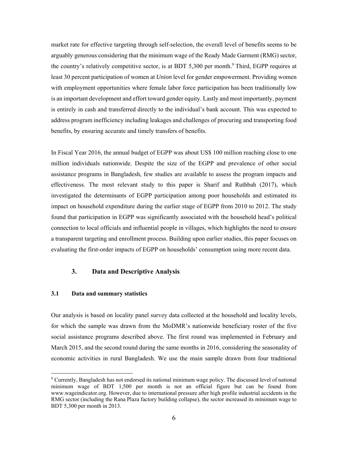market rate for effective targeting through self-selection, the overall level of benefits seems to be arguably generous considering that the minimum wage of the Ready Made Garment (RMG) sector, the country's relatively competitive sector, is at BDT 5,300 per month.<sup>9</sup> Third, EGPP requires at least 30 percent participation of women at *Union* level for gender empowerment. Providing women with employment opportunities where female labor force participation has been traditionally low is an important development and effort toward gender equity. Lastly and most importantly, payment is entirely in cash and transferred directly to the individual's bank account. This was expected to address program inefficiency including leakages and challenges of procuring and transporting food benefits, by ensuring accurate and timely transfers of benefits.

In Fiscal Year 2016, the annual budget of EGPP was about US\$ 100 million reaching close to one million individuals nationwide. Despite the size of the EGPP and prevalence of other social assistance programs in Bangladesh, few studies are available to assess the program impacts and effectiveness. The most relevant study to this paper is Sharif and Ruthbah (2017), which investigated the determinants of EGPP participation among poor households and estimated its impact on household expenditure during the earlier stage of EGPP from 2010 to 2012. The study found that participation in EGPP was significantly associated with the household head's political connection to local officials and influential people in villages, which highlights the need to ensure a transparent targeting and enrollment process. Building upon earlier studies, this paper focuses on evaluating the first-order impacts of EGPP on households' consumption using more recent data.

## **3. Data and Descriptive Analysis**

## **3.1 Data and summary statistics**

 $\overline{a}$ 

Our analysis is based on locality panel survey data collected at the household and locality levels, for which the sample was drawn from the MoDMR's nationwide beneficiary roster of the five social assistance programs described above. The first round was implemented in February and March 2015, and the second round during the same months in 2016, considering the seasonality of economic activities in rural Bangladesh. We use the main sample drawn from four traditional

<sup>9</sup> Currently, Bangladesh has not endorsed its national minimum wage policy. The discussed level of national minimum wage of BDT 1,500 per month is not an official figure but can be found from www.wageindicator.org. However, due to international pressure after high profile industrial accidents in the RMG sector (including the Rana Plaza factory building collapse), the sector increased its minimum wage to BDT 5,300 per month in 2013.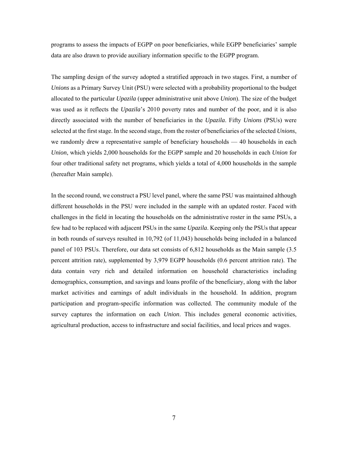programs to assess the impacts of EGPP on poor beneficiaries, while EGPP beneficiaries' sample data are also drawn to provide auxiliary information specific to the EGPP program.

The sampling design of the survey adopted a stratified approach in two stages. First, a number of *Unions* as a Primary Survey Unit (PSU) were selected with a probability proportional to the budget allocated to the particular *Upazila* (upper administrative unit above *Union*). The size of the budget was used as it reflects the *Upazila*'s 2010 poverty rates and number of the poor, and it is also directly associated with the number of beneficiaries in the *Upazila*. Fifty *Unions* (PSUs) were selected at the first stage. In the second stage, from the roster of beneficiaries of the selected *Unions*, we randomly drew a representative sample of beneficiary households — 40 households in each *Union*, which yields 2,000 households for the EGPP sample and 20 households in each *Union* for four other traditional safety net programs, which yields a total of 4,000 households in the sample (hereafter Main sample).

In the second round, we construct a PSU level panel, where the same PSU was maintained although different households in the PSU were included in the sample with an updated roster. Faced with challenges in the field in locating the households on the administrative roster in the same PSUs, a few had to be replaced with adjacent PSUs in the same *Upazila*. Keeping only the PSUs that appear in both rounds of surveys resulted in 10,792 (of 11,043) households being included in a balanced panel of 103 PSUs. Therefore, our data set consists of 6,812 households as the Main sample (3.5 percent attrition rate), supplemented by 3,979 EGPP households (0.6 percent attrition rate). The data contain very rich and detailed information on household characteristics including demographics, consumption, and savings and loans profile of the beneficiary, along with the labor market activities and earnings of adult individuals in the household. In addition, program participation and program-specific information was collected. The community module of the survey captures the information on each *Union*. This includes general economic activities, agricultural production, access to infrastructure and social facilities, and local prices and wages.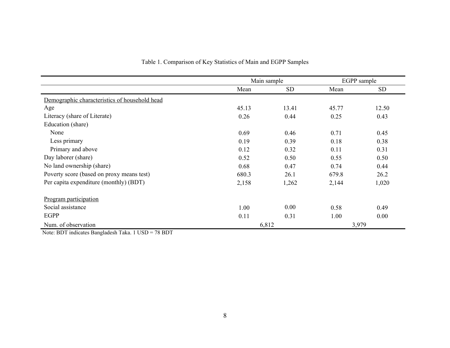|                                               | Main sample |            | EGPP sample |       |
|-----------------------------------------------|-------------|------------|-------------|-------|
|                                               | Mean        | ${\rm SD}$ | Mean        | SD    |
| Demographic characteristics of household head |             |            |             |       |
| Age                                           | 45.13       | 13.41      | 45.77       | 12.50 |
| Literacy (share of Literate)                  | 0.26        | 0.44       | 0.25        | 0.43  |
| Education (share)                             |             |            |             |       |
| None                                          | 0.69        | 0.46       | 0.71        | 0.45  |
| Less primary                                  | 0.19        | 0.39       | 0.18        | 0.38  |
| Primary and above                             | 0.12        | 0.32       | 0.11        | 0.31  |
| Day laborer (share)                           | 0.52        | 0.50       | 0.55        | 0.50  |
| No land ownership (share)                     | 0.68        | 0.47       | 0.74        | 0.44  |
| Poverty score (based on proxy means test)     | 680.3       | 26.1       | 679.8       | 26.2  |
| Per capita expenditure (monthly) (BDT)        | 2,158       | 1,262      | 2,144       | 1,020 |
| Program participation                         |             |            |             |       |
| Social assistance                             | 1.00        | 0.00       | 0.58        | 0.49  |
| EGPP                                          | 0.11        | 0.31       | 1.00        | 0.00  |
| Num. of observation                           | 6,812       |            |             | 3,979 |

# Table 1. Comparison of Key Statistics of Main and EGPP Samples

Note: BDT indicates Bangladesh Taka. 1 USD = 78 BDT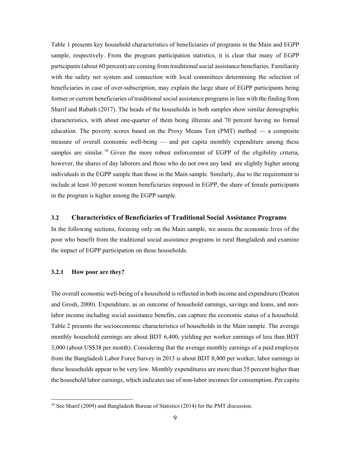Table 1 presents key household characteristics of beneficiaries of programs in the Main and EGPP sample, respectively. From the program participation statistics, it is clear that many of EGPP participants (about 60 percent) are coming from traiditional social assistance benefiaries. Familiarity with the safety net system and connection with local committees determining the selection of beneficiaries in case of over-subscription, may explain the large share of EGPP participants being former or current beneficiaries of traiditional social assistance programs in line with the finding from Sharif and Rubath (2017). The heads of the households in both samples show similar demographic characteristics, with about one-quarter of them being illterate and 70 percent having no formal education. The poverty scores based on the Proxy Means Test (PMT) method — a composite measure of overall economic well-being — and per capita monthly expenditure among these samples are similar.<sup>10</sup> Given the more robust enforcement of EGPP of the eligibility criteria, however, the shares of day laborors and those who do not own any land are slightly higher among individuals in the EGPP sample than those in the Main sample. Similarly, due to the requirement to include at least 30 percent women beneficiaries imposed in EGPP, the share of female participants in the program is higher among the EGPP sample.

#### **3.2 Characteristics of Beneficiaries of Traditional Social Assistance Programs**

In the following sections, focusing only on the Main sample, we assess the economic lives of the poor who benefit from the traditional social assistance programs in rural Bangladesh and examine the impact of EGPP participation on these households.

## **3.2.1 How poor are they?**

 $\overline{a}$ 

The overall economic well-being of a household is reflected in both income and expenditure (Deaton and Grosh, 2000). Expenditure, as an outcome of household earnings, savings and loans, and nonlabor income including social assistance benefits, can capture the economic status of a household. Table 2 presents the socioeconomic characteristics of households in the Main sample. The average monthly household earnings are about BDT 6,400, yielding per worker earnings of less than BDT 3,000 (about US\$38 per month). Considering that the average monthly earnings of a paid employee from the Bangladesh Labor Force Survey in 2013 is about BDT 8,400 per worker, labor earnings in these households appear to be very low. Monthly expenditures are more than 35 percent higher than the household labor earnings, which indicates use of non-labor incomes for consumption. Per capita

<sup>&</sup>lt;sup>10</sup> See Sharif (2009) and Bangladesh Bureau of Statistics (2014) for the PMT discussion.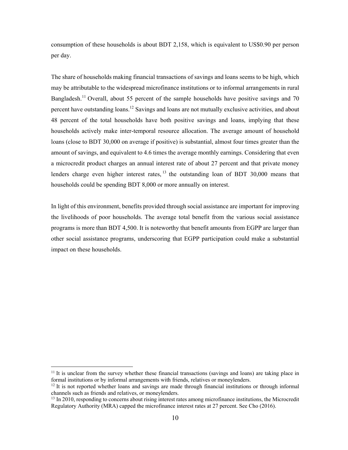consumption of these households is about BDT 2,158, which is equivalent to US\$0.90 per person per day.

The share of households making financial transactions of savings and loans seems to be high, which may be attributable to the widespread microfinance institutions or to informal arrangements in rural Bangladesh.<sup>11</sup> Overall, about 55 percent of the sample households have positive savings and 70 percent have outstanding loans.<sup>12</sup> Savings and loans are not mutually exclusive activities, and about 48 percent of the total households have both positive savings and loans, implying that these households actively make inter-temporal resource allocation. The average amount of household loans (close to BDT 30,000 on average if positive) is substantial, almost four times greater than the amount of savings, and equivalent to 4.6 times the average monthly earnings. Considering that even a microcredit product charges an annual interest rate of about 27 percent and that private money lenders charge even higher interest rates, <sup>13</sup> the outstanding loan of BDT 30,000 means that households could be spending BDT 8,000 or more annually on interest.

In light of this environment, benefits provided through social assistance are important for improving the livelihoods of poor households. The average total benefit from the various social assistance programs is more than BDT 4,500. It is noteworthy that benefit amounts from EGPP are larger than other social assistance programs, underscoring that EGPP participation could make a substantial impact on these households.

<sup>&</sup>lt;sup>11</sup> It is unclear from the survey whether these financial transactions (savings and loans) are taking place in formal institutions or by informal arrangements with friends, relatives or moneylenders.<br><sup>12</sup> It is not reported whether loans and savings are made through financial institutions or through informal

channels such as friends and relatives, or moneylenders.

<sup>&</sup>lt;sup>13</sup> In 2010, responding to concerns about rising interest rates among microfinance institutions, the Microcredit Regulatory Authority (MRA) capped the microfinance interest rates at 27 percent. See Cho (2016).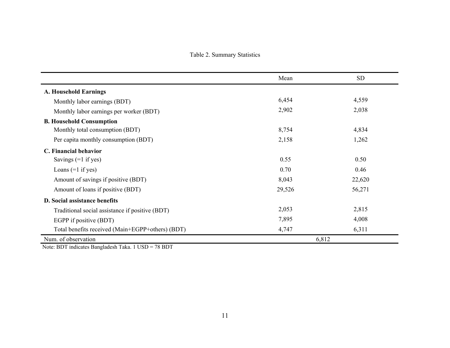Table 2. Summary Statistics

|                                                  | Mean   | <b>SD</b> |
|--------------------------------------------------|--------|-----------|
| <b>A. Household Earnings</b>                     |        |           |
| Monthly labor earnings (BDT)                     | 6,454  | 4,559     |
| Monthly labor earnings per worker (BDT)          | 2,902  | 2,038     |
| <b>B. Household Consumption</b>                  |        |           |
| Monthly total consumption (BDT)                  | 8,754  | 4,834     |
| Per capita monthly consumption (BDT)             | 2,158  | 1,262     |
| C. Financial behavior                            |        |           |
| Savings $(=1$ if yes)                            | 0.55   | 0.50      |
| Loans $(=1$ if yes)                              | 0.70   | 0.46      |
| Amount of savings if positive (BDT)              | 8,043  | 22,620    |
| Amount of loans if positive (BDT)                | 29,526 | 56,271    |
| D. Social assistance benefits                    |        |           |
| Traditional social assistance if positive (BDT)  | 2,053  | 2,815     |
| EGPP if positive (BDT)                           | 7,895  | 4,008     |
| Total benefits received (Main+EGPP+others) (BDT) | 4,747  | 6,311     |
| Num. of observation                              |        | 6,812     |

Note: BDT indicates Bangladesh Taka. 1 USD = 78 BDT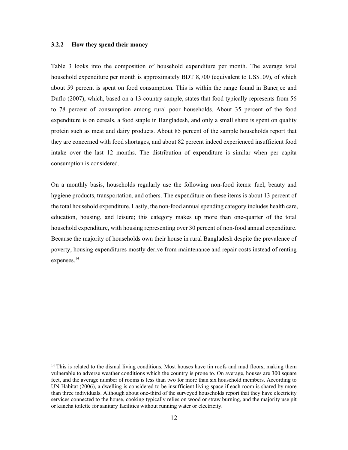#### **3.2.2 How they spend their money**

 $\overline{a}$ 

Table 3 looks into the composition of household expenditure per month. The average total household expenditure per month is approximately BDT 8,700 (equivalent to US\$109), of which about 59 percent is spent on food consumption. This is within the range found in Banerjee and Duflo (2007), which, based on a 13-country sample, states that food typically represents from 56 to 78 percent of consumption among rural poor households. About 35 percent of the food expenditure is on cereals, a food staple in Bangladesh, and only a small share is spent on quality protein such as meat and dairy products. About 85 percent of the sample households report that they are concerned with food shortages, and about 82 percent indeed experienced insufficient food intake over the last 12 months. The distribution of expenditure is similar when per capita consumption is considered.

On a monthly basis, households regularly use the following non-food items: fuel, beauty and hygiene products, transportation, and others. The expenditure on these items is about 13 percent of the total household expenditure. Lastly, the non-food annual spending category includes health care, education, housing, and leisure; this category makes up more than one-quarter of the total household expenditure, with housing representing over 30 percent of non-food annual expenditure. Because the majority of households own their house in rural Bangladesh despite the prevalence of poverty, housing expenditures mostly derive from maintenance and repair costs instead of renting expenses.14

<sup>&</sup>lt;sup>14</sup> This is related to the dismal living conditions. Most houses have tin roofs and mud floors, making them vulnerable to adverse weather conditions which the country is prone to. On average, houses are 300 square feet, and the average number of rooms is less than two for more than six household members. According to UN-Habitat (2006), a dwelling is considered to be insufficient living space if each room is shared by more than three individuals. Although about one-third of the surveyed households report that they have electricity services connected to the house, cooking typically relies on wood or straw burning, and the majority use pit or kancha toilette for sanitary facilities without running water or electricity.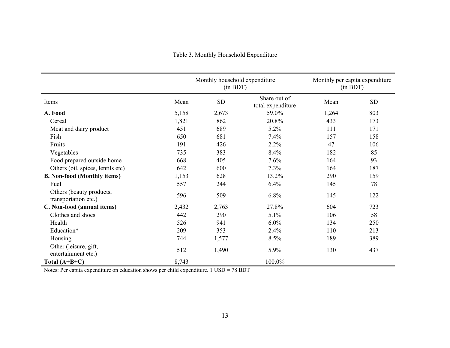|                                                  |       | Monthly household expenditure<br>(in BDT) |                                   |       | Monthly per capita expenditure<br>(in BDT) |  |
|--------------------------------------------------|-------|-------------------------------------------|-----------------------------------|-------|--------------------------------------------|--|
| Items                                            | Mean  | ${\rm SD}$                                | Share out of<br>total expenditure | Mean  | ${\rm SD}$                                 |  |
| A. Food                                          | 5,158 | 2,673                                     | 59.0%                             | 1,264 | 803                                        |  |
| Cereal                                           | 1,821 | 862                                       | 20.8%                             | 433   | 173                                        |  |
| Meat and dairy product                           | 451   | 689                                       | 5.2%                              | 111   | 171                                        |  |
| Fish                                             | 650   | 681                                       | 7.4%                              | 157   | 158                                        |  |
| Fruits                                           | 191   | 426                                       | 2.2%                              | 47    | 106                                        |  |
| Vegetables                                       | 735   | 383                                       | 8.4%                              | 182   | 85                                         |  |
| Food prepared outside home                       | 668   | 405                                       | 7.6%                              | 164   | 93                                         |  |
| Others (oil, spices, lentils etc)                | 642   | 600                                       | 7.3%                              | 164   | 187                                        |  |
| <b>B. Non-food (Monthly items)</b>               | 1,153 | 628                                       | 13.2%                             | 290   | 159                                        |  |
| Fuel                                             | 557   | 244                                       | 6.4%                              | 145   | 78                                         |  |
| Others (beauty products,<br>transportation etc.) | 596   | 509                                       | 6.8%                              | 145   | 122                                        |  |
| C. Non-food (annual items)                       | 2,432 | 2,763                                     | 27.8%                             | 604   | 723                                        |  |
| Clothes and shoes                                | 442   | 290                                       | 5.1%                              | 106   | 58                                         |  |
| Health                                           | 526   | 941                                       | 6.0%                              | 134   | 250                                        |  |
| Education*                                       | 209   | 353                                       | 2.4%                              | 110   | 213                                        |  |
| Housing                                          | 744   | 1,577                                     | 8.5%                              | 189   | 389                                        |  |
| Other (leisure, gift,<br>entertainment etc.)     | 512   | 1,490                                     | 5.9%                              | 130   | 437                                        |  |
| Total $(A+B+C)$                                  | 8,743 |                                           | 100.0%                            |       |                                            |  |

# Table 3. Monthly Household Expenditure

Notes: Per capita expenditure on education shows per child expenditure. 1 USD = 78 BDT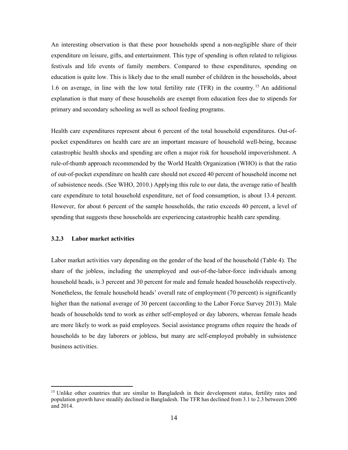An interesting observation is that these poor households spend a non-negligible share of their expenditure on leisure, gifts, and entertainment. This type of spending is often related to religious festivals and life events of family members. Compared to these expenditures, spending on education is quite low. This is likely due to the small number of children in the households, about 1.6 on average, in line with the low total fertility rate (TFR) in the country.15 An additional explanation is that many of these households are exempt from education fees due to stipends for primary and secondary schooling as well as school feeding programs.

Health care expenditures represent about 6 percent of the total household expenditures. Out-ofpocket expenditures on health care are an important measure of household well-being, because catastrophic health shocks and spending are often a major risk for household impoverishment. A rule-of-thumb approach recommended by the World Health Organization (WHO) is that the ratio of out-of-pocket expenditure on health care should not exceed 40 percent of household income net of subsistence needs. (See WHO, 2010.) Applying this rule to our data, the average ratio of health care expenditure to total household expenditure, net of food consumption, is about 13.4 percent. However, for about 6 percent of the sample households, the ratio exceeds 40 percent, a level of spending that suggests these households are experiencing catastrophic health care spending.

#### **3.2.3 Labor market activities**

 $\overline{a}$ 

Labor market activities vary depending on the gender of the head of the household (Table 4). The share of the jobless, including the unemployed and out-of-the-labor-force individuals among household heads, is 3 percent and 30 percent for male and female headed households respectively. Nonetheless, the female household heads' overall rate of employment (70 percent) is significantly higher than the national average of 30 percent (according to the Labor Force Survey 2013). Male heads of households tend to work as either self-employed or day laborers, whereas female heads are more likely to work as paid employees. Social assistance programs often require the heads of households to be day laborers or jobless, but many are self-employed probably in subsistence business activities.

<sup>&</sup>lt;sup>15</sup> Unlike other countries that are similar to Bangladesh in their development status, fertility rates and population growth have steadily declined in Bangladesh. The TFR has declined from 3.1 to 2.3 between 2000 and 2014.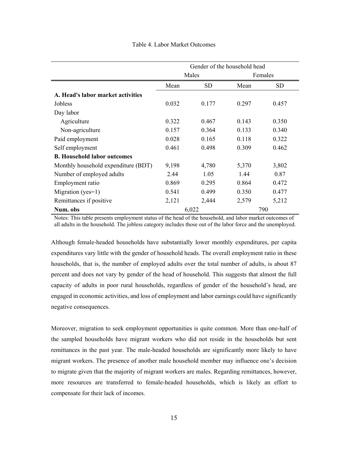|                                     | Gender of the household head |       |       |         |
|-------------------------------------|------------------------------|-------|-------|---------|
|                                     |                              | Males |       | Females |
|                                     | Mean                         | SD    | Mean  | SD      |
| A. Head's labor market activities   |                              |       |       |         |
| Jobless                             | 0.032                        | 0.177 | 0.297 | 0.457   |
| Day labor                           |                              |       |       |         |
| Agriculture                         | 0.322                        | 0.467 | 0.143 | 0.350   |
| Non-agriculture                     | 0.157                        | 0.364 | 0.133 | 0.340   |
| Paid employment                     | 0.028                        | 0.165 | 0.118 | 0.322   |
| Self employment                     | 0.461                        | 0.498 | 0.309 | 0.462   |
| <b>B.</b> Household labor outcomes  |                              |       |       |         |
| Monthly household expenditure (BDT) | 9,198                        | 4,780 | 5,370 | 3,802   |
| Number of employed adults           | 2.44                         | 1.05  | 1.44  | 0.87    |
| Employment ratio                    | 0.869                        | 0.295 | 0.864 | 0.472   |
| Migration ( $yes=1$ )               | 0.541                        | 0.499 | 0.350 | 0.477   |
| Remittances if positive             | 2,121                        | 2,444 | 2,579 | 5,212   |
| Num. obs                            |                              | 6,022 |       | 790     |

Notes: This table presents employment status of the head of the household, and labor market outcomes of all adults in the household. The jobless category includes those out of the labor force and the unemployed.

Although female-headed households have substantially lower monthly expenditures, per capita expenditures vary little with the gender of household heads. The overall employment ratio in these households, that is, the number of employed adults over the total number of adults, is about 87 percent and does not vary by gender of the head of household. This suggests that almost the full capacity of adults in poor rural households, regardless of gender of the household's head, are engaged in economic activities, and loss of employment and labor earnings could have significantly negative consequences.

Moreover, migration to seek employment opportunities is quite common. More than one-half of the sampled households have migrant workers who did not reside in the households but sent remittances in the past year. The male-headed households are significantly more likely to have migrant workers. The presence of another male household member may influence one's decision to migrate given that the majority of migrant workers are males. Regarding remittances, however, more resources are transferred to female-headed households, which is likely an effort to compensate for their lack of incomes.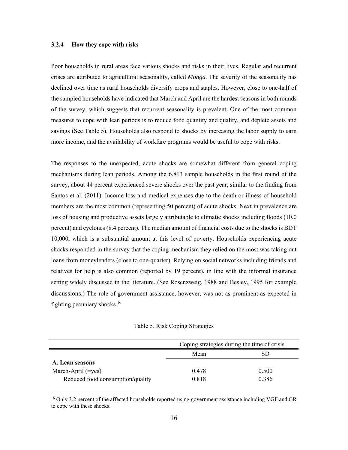#### **3.2.4 How they cope with risks**

 $\overline{a}$ 

Poor households in rural areas face various shocks and risks in their lives. Regular and recurrent crises are attributed to agricultural seasonality, called *Monga*. The severity of the seasonality has declined over time as rural households diversify crops and staples. However, close to one-half of the sampled households have indicated that March and April are the hardest seasons in both rounds of the survey, which suggests that recurrent seasonality is prevalent. One of the most common measures to cope with lean periods is to reduce food quantity and quality, and deplete assets and savings (See Table 5). Households also respond to shocks by increasing the labor supply to earn more income, and the availability of workfare programs would be useful to cope with risks.

The responses to the unexpected, acute shocks are somewhat different from general coping mechanisms during lean periods. Among the 6,813 sample households in the first round of the survey, about 44 percent experienced severe shocks over the past year, similar to the finding from Santos et al. (2011). Income loss and medical expenses due to the death or illness of household members are the most common (representing 50 percent) of acute shocks. Next in prevalence are loss of housing and productive assets largely attributable to climatic shocks including floods (10.0 percent) and cyclones (8.4 percent). The median amount of financial costs due to the shocks is BDT 10,000, which is a substantial amount at this level of poverty. Households experiencing acute shocks responded in the survey that the coping mechanism they relied on the most was taking out loans from moneylenders (close to one-quarter). Relying on social networks including friends and relatives for help is also common (reported by 19 percent), in line with the informal insurance setting widely discussed in the literature. (See Rosenzweig, 1988 and Besley, 1995 for example discussions.) The role of government assistance, however, was not as prominent as expected in fighting pecuniary shocks.16

Table 5. Risk Coping Strategies

|                                  | Coping strategies during the time of crisis |       |  |
|----------------------------------|---------------------------------------------|-------|--|
|                                  | Mean                                        |       |  |
| A. Lean seasons                  |                                             |       |  |
| March-April $( = yes)$           | 0.478                                       | 0.500 |  |
| Reduced food consumption/quality | 0.818                                       | 0.386 |  |

<sup>&</sup>lt;sup>16</sup> Only 3.2 percent of the affected households reported using government assistance including VGF and GR to cope with these shocks.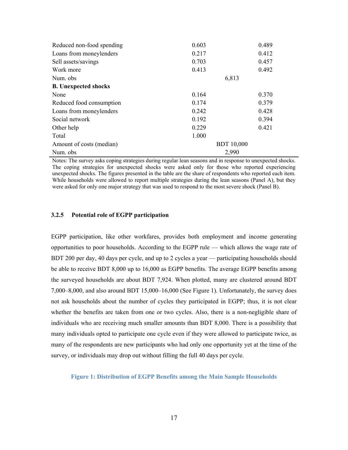| Reduced non-food spending   | 0.603             | 0.489 |  |
|-----------------------------|-------------------|-------|--|
| Loans from moneylenders     | 0.217             | 0.412 |  |
| Sell assets/savings         | 0.703             | 0.457 |  |
| Work more                   | 0.413             | 0.492 |  |
| Num. obs                    | 6,813             |       |  |
| <b>B.</b> Unexpected shocks |                   |       |  |
| None                        | 0.164             | 0.370 |  |
| Reduced food consumption    | 0.174             | 0.379 |  |
| Loans from moneylenders     | 0.242             | 0.428 |  |
| Social network              | 0.192             | 0.394 |  |
| Other help                  | 0.229             | 0.421 |  |
| Total                       | 1.000             |       |  |
| Amount of costs (median)    | <b>BDT</b> 10,000 |       |  |
| Num. obs                    | 2,990             |       |  |

Notes: The survey asks coping strategies during regular lean seasons and in response to unexpected shocks. The coping strategies for unexpected shocks were asked only for those who reported experiencing unexpected shocks. The figures presented in the table are the share of respondents who reported each item. While households were allowed to report multiple strategies during the lean seasons (Panel A), but they were asked for only one major strategy that was used to respond to the most severe shock (Panel B).

#### **3.2.5 Potential role of EGPP participation**

EGPP participation, like other workfares, provides both employment and income generating opportunities to poor households. According to the EGPP rule — which allows the wage rate of BDT 200 per day, 40 days per cycle, and up to 2 cycles a year — participating households should be able to receive BDT 8,000 up to 16,000 as EGPP benefits. The average EGPP benefits among the surveyed households are about BDT 7,924. When plotted, many are clustered around BDT 7,000–8,000, and also around BDT 15,000–16,000 (See Figure 1). Unfortunately, the survey does not ask households about the number of cycles they participated in EGPP; thus, it is not clear whether the benefits are taken from one or two cycles. Also, there is a non-negligible share of individuals who are receiving much smaller amounts than BDT 8,000. There is a possibility that many individuals opted to participate one cycle even if they were allowed to participate twice, as many of the respondents are new participants who had only one opportunity yet at the time of the survey, or individuals may drop out without filling the full 40 days per cycle.

#### **Figure 1: Distribution of EGPP Benefits among the Main Sample Households**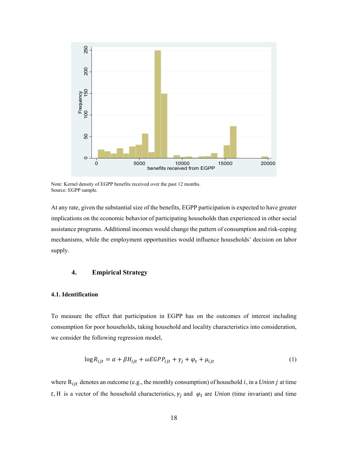

Note: Kernel density of EGPP benefits received over the past 12 months. Source: EGPP sample.

At any rate, given the substantial size of the benefits, EGPP participation is expected to have greater implications on the economic behavior of participating households than experienced in other social assistance programs. Additional incomes would change the pattern of consumption and risk-coping mechanisms, while the employment opportunities would influence households' decision on labor supply.

# **4. Empirical Strategy**

#### **4.1. Identification**

To measure the effect that participation in EGPP has on the outcomes of interest including consumption for poor households, taking household and locality characteristics into consideration, we consider the following regression model,

$$
\log R_{ijt} = \alpha + \beta H_{ijt} + \omega EGPP_{ijt} + \gamma_j + \varphi_t + \mu_{ijt}
$$
 (1)

where  $R_{ijt}$  denotes an outcome (e.g., the monthly consumption) of household  $i$ , in a *Union*  $j$  at time t, H is a vector of the household characteristics,  $\gamma_i$  and  $\varphi_t$  are *Union* (time invariant) and time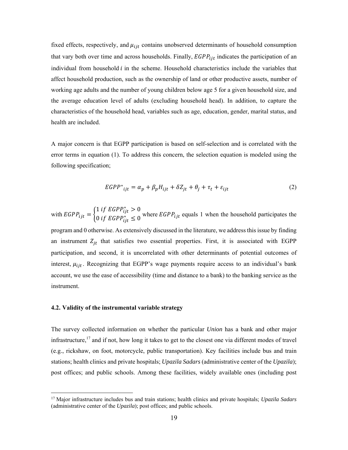fixed effects, respectively, and  $\mu_{ijt}$  contains unobserved determinants of household consumption that vary both over time and across households. Finally,  $EGPP_{ijt}$  indicates the participation of an individual from household  $i$  in the scheme. Household characteristics include the variables that affect household production, such as the ownership of land or other productive assets, number of working age adults and the number of young children below age 5 for a given household size, and the average education level of adults (excluding household head). In addition, to capture the characteristics of the household head, variables such as age, education, gender, marital status, and health are included.

A major concern is that EGPP participation is based on self-selection and is correlated with the error terms in equation (1). To address this concern, the selection equation is modeled using the following specification;

$$
EGPP^*_{ijt} = \alpha_p + \beta_p H_{ijt} + \delta Z_{jt} + \theta_j + \tau_t + \varepsilon_{ijt}
$$
 (2)

with  $EGPP_{ijt} = \begin{cases} 1 & \text{if } EGPP_{ijt}^* > 0 \\ 0 & \text{if } ECDP^* > 0 \end{cases}$ 0 if  $EGPP_{ijt}$   $\leq$  0 where  $EGPP_{ijt}$  equals 1 when the household participates the program and 0 otherwise. As extensively discussed in the literature, we address this issue by finding an instrument  $Z_{it}$  that satisfies two essential properties. First, it is associated with EGPP participation, and second, it is uncorrelated with other determinants of potential outcomes of interest,  $\mu_{ijt}$ . Recognizing that EGPP's wage payments require access to an individual's bank account, we use the ease of accessibility (time and distance to a bank) to the banking service as the instrument.

#### **4.2. Validity of the instrumental variable strategy**

 $\overline{a}$ 

The survey collected information on whether the particular *Union* has a bank and other major infrastructure,<sup>17</sup> and if not, how long it takes to get to the closest one via different modes of travel (e.g., rickshaw, on foot, motorcycle, public transportation). Key facilities include bus and train stations; health clinics and private hospitals; *Upazila Sadars* (administrative center of the *Upazila*); post offices; and public schools. Among these facilities, widely available ones (including post

<sup>17</sup> Major infrastructure includes bus and train stations; health clinics and private hospitals; *Upazila Sadars* (administrative center of the *Upazila*); post offices; and public schools.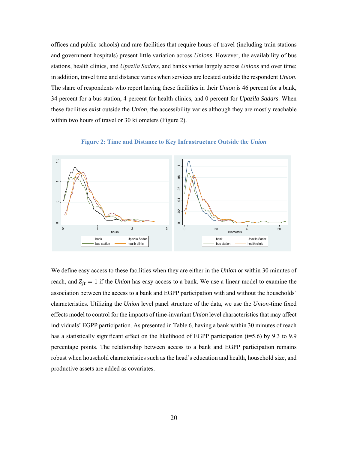offices and public schools) and rare facilities that require hours of travel (including train stations and government hospitals) present little variation across *Unions*. However, the availability of bus stations, health clinics, and *Upazila Sadars*, and banks varies largely across *Unions* and over time; in addition, travel time and distance varies when services are located outside the respondent *Union*. The share of respondents who report having these facilities in their *Union* is 46 percent for a bank, 34 percent for a bus station, 4 percent for health clinics, and 0 percent for *Upazila Sadars*. When these facilities exist outside the *Union*, the accessibility varies although they are mostly reachable within two hours of travel or 30 kilometers (Figure 2).





We define easy access to these facilities when they are either in the *Union* or within 30 minutes of reach, and  $Z_{it} = 1$  if the *Union* has easy access to a bank. We use a linear model to examine the association between the access to a bank and EGPP participation with and without the households' characteristics. Utilizing the *Union* level panel structure of the data, we use the *Union*-time fixed effects model to control for the impacts of time-invariant *Union* level characteristics that may affect individuals' EGPP participation. As presented in Table 6, having a bank within 30 minutes of reach has a statistically significant effect on the likelihood of EGPP participation ( $t=5.6$ ) by 9.3 to 9.9 percentage points. The relationship between access to a bank and EGPP participation remains robust when household characteristics such as the head's education and health, household size, and productive assets are added as covariates.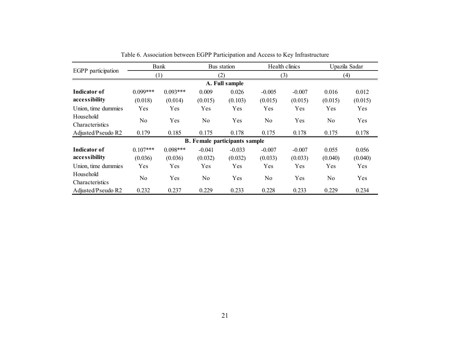| EGPP participation           |            | Bank       |            | Bus station                          |            | Health clinics |            | Upazila Sadar |  |
|------------------------------|------------|------------|------------|--------------------------------------|------------|----------------|------------|---------------|--|
|                              |            | (1)        |            | (2)                                  |            | (3)            |            | (4)           |  |
| A. Full sample               |            |            |            |                                      |            |                |            |               |  |
| Indicator of                 | $0.099***$ | $0.093***$ | 0.009      | 0.026                                | $-0.005$   | $-0.007$       | 0.016      | 0.012         |  |
| accessibility                | (0.018)    | (0.014)    | (0.015)    | (0.103)                              | (0.015)    | (0.015)        | (0.015)    | (0.015)       |  |
| Union, time dummies          | Yes        | Yes        | <b>Yes</b> | <b>Yes</b>                           | Yes        | Yes            | Yes        | Yes           |  |
| Household                    |            |            |            |                                      |            |                |            |               |  |
| Characteristics              | No         | Yes        | No         | Yes                                  | No         | Yes            | No         | Yes           |  |
| Adjusted/Pseudo R2           | 0.179      | 0.185      | 0.175      | 0.178                                | 0.175      | 0.178          | 0.175      | 0.178         |  |
|                              |            |            |            | <b>B.</b> Female participants sample |            |                |            |               |  |
| Indicator of                 | $0.107***$ | $0.098***$ | $-0.041$   | $-0.033$                             | $-0.007$   | $-0.007$       | 0.055      | 0.056         |  |
| accessibility                | (0.036)    | (0.036)    | (0.032)    | (0.032)                              | (0.033)    | (0.033)        | (0.040)    | (0.040)       |  |
| Union, time dummies          | <b>Yes</b> | Yes        | Yes        | <b>Yes</b>                           | <b>Yes</b> | Yes            | <b>Yes</b> | Yes           |  |
| Household<br>Characteristics | No         | Yes        | No         | <b>Yes</b>                           | No         | Yes            | No         | Yes           |  |
| Adjusted/Pseudo R2           | 0.232      | 0.237      | 0.229      | 0.233                                | 0.228      | 0.233          | 0.229      | 0.234         |  |

Table 6. Association between EGPP Participation and Access to Key Infrastructure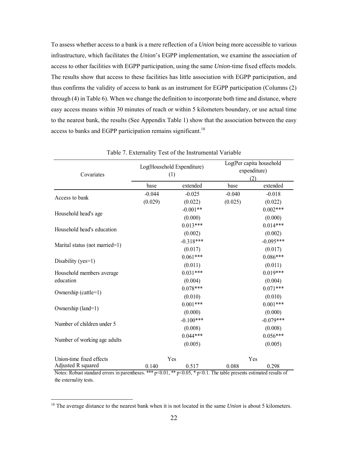To assess whether access to a bank is a mere reflection of a *Union* being more accessible to various infrastructure, which facilitates the *Union*'s EGPP implementation, we examine the association of access to other facilities with EGPP participation, using the same *Union*-time fixed effects models. The results show that access to these facilities has little association with EGPP participation, and thus confirms the validity of access to bank as an instrument for EGPP participation (Columns (2) through (4) in Table 6). When we change the definition to incorporate both time and distance, where easy access means within 30 minutes of reach or within 5 kilometers boundary, or use actual time to the nearest bank, the results (See Appendix Table 1) show that the association between the easy access to banks and EGPP participation remains significant.<sup>18</sup>

| Covariates                     |          | Log(Household Expenditure)<br>(1) | Log(Per capita household<br>expenditure)<br>(2) |             |
|--------------------------------|----------|-----------------------------------|-------------------------------------------------|-------------|
|                                | base     | extended                          | base                                            | extended    |
| Access to bank                 | $-0.044$ | $-0.025$                          | $-0.040$                                        | $-0.018$    |
|                                | (0.029)  | (0.022)                           | (0.025)                                         | (0.022)     |
|                                |          | $-0.001**$                        |                                                 | $0.002***$  |
| Household head's age           |          | (0.000)                           |                                                 | (0.000)     |
| Household head's education     |          | $0.013***$                        |                                                 | $0.014***$  |
|                                |          | (0.002)                           |                                                 | (0.002)     |
|                                |          | $-0.318***$                       |                                                 | $-0.095***$ |
| Marital status (not married=1) |          | (0.017)                           |                                                 | (0.017)     |
| Disability (yes=1)             |          | $0.061***$                        |                                                 | $0.086***$  |
|                                |          | (0.011)                           |                                                 | (0.011)     |
| Household members average      |          | $0.031***$                        |                                                 | $0.019***$  |
| education                      |          | (0.004)                           |                                                 | (0.004)     |
|                                |          | $0.078***$                        |                                                 | $0.071***$  |
| Ownership (cattle=1)           |          | (0.010)                           |                                                 | (0.010)     |
|                                |          | $0.001***$                        |                                                 | $0.001***$  |
| Ownership (land=1)             |          | (0.000)                           |                                                 | (0.000)     |
|                                |          | $-0.100***$                       |                                                 | $-0.079***$ |
| Number of children under 5     |          | (0.008)                           |                                                 | (0.008)     |
|                                |          | $0.044***$                        |                                                 | $0.056***$  |
| Number of working age adults   |          | (0.005)                           |                                                 | (0.005)     |
| Union-time fixed effects       |          | Yes                               |                                                 | Yes         |
| Adjusted R squared             | 0.140    | 0.517                             | 0.088                                           | 0.298       |

Table 7. Externality Test of the Instrumental Variable

the externality tests.

<sup>18</sup> The average distance to the nearest bank when it is not located in the same *Union* is about 5 kilometers.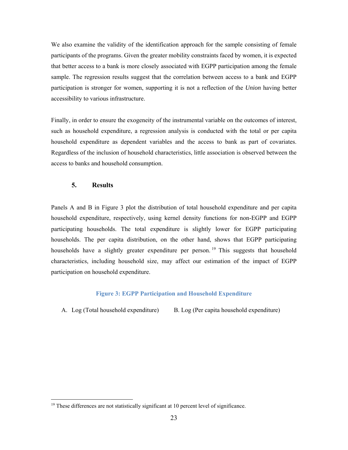We also examine the validity of the identification approach for the sample consisting of female participants of the programs. Given the greater mobility constraints faced by women, it is expected that better access to a bank is more closely associated with EGPP participation among the female sample. The regression results suggest that the correlation between access to a bank and EGPP participation is stronger for women, supporting it is not a reflection of the *Union* having better accessibility to various infrastructure.

Finally, in order to ensure the exogeneity of the instrumental variable on the outcomes of interest, such as household expenditure, a regression analysis is conducted with the total or per capita household expenditure as dependent variables and the access to bank as part of covariates. Regardless of the inclusion of household characteristics, little association is observed between the access to banks and household consumption.

## **5. Results**

 $\overline{a}$ 

Panels A and B in Figure 3 plot the distribution of total household expenditure and per capita household expenditure, respectively, using kernel density functions for non-EGPP and EGPP participating households. The total expenditure is slightly lower for EGPP participating households. The per capita distribution, on the other hand, shows that EGPP participating households have a slightly greater expenditure per person.<sup>19</sup> This suggests that household characteristics, including household size, may affect our estimation of the impact of EGPP participation on household expenditure.

## **Figure 3: EGPP Participation and Household Expenditure**

A. Log (Total household expenditure) B. Log (Per capita household expenditure)

 $19$  These differences are not statistically significant at 10 percent level of significance.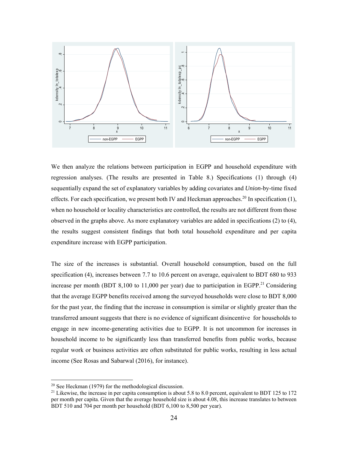

We then analyze the relations between participation in EGPP and household expenditure with regression analyses. (The results are presented in Table 8.) Specifications (1) through (4) sequentially expand the set of explanatory variables by adding covariates and *Union*-by-time fixed effects. For each specification, we present both IV and Heckman approaches.<sup>20</sup> In specification  $(1)$ , when no household or locality characteristics are controlled, the results are not different from those observed in the graphs above. As more explanatory variables are added in specifications (2) to (4), the results suggest consistent findings that both total household expenditure and per capita expenditure increase with EGPP participation.

The size of the increases is substantial. Overall household consumption, based on the full specification (4), increases between 7.7 to 10.6 percent on average, equivalent to BDT 680 to 933 increase per month (BDT 8,100 to 11,000 per year) due to participation in EGPP.<sup>21</sup> Considering that the average EGPP benefits received among the surveyed households were close to BDT 8,000 for the past year, the finding that the increase in consumption is similar or slightly greater than the transferred amount suggests that there is no evidence of significant disincentive for households to engage in new income-generating activities due to EGPP. It is not uncommon for increases in household income to be significantly less than transferred benefits from public works, because regular work or business activities are often substituted for public works, resulting in less actual income (See Rosas and Sabarwal (2016), for instance).

 $20$  See Heckman (1979) for the methodological discussion.

<sup>&</sup>lt;sup>21</sup> Likewise, the increase in per capita consumption is about 5.8 to 8.0 percent, equivalent to BDT 125 to 172 per month per capita. Given that the average household size is about 4.08, this increase translates to between BDT 510 and 704 per month per household (BDT 6,100 to 8,500 per year).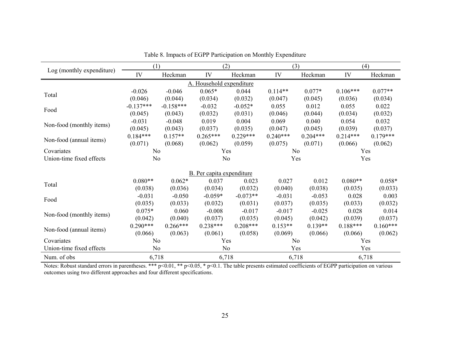|                           | (1)            |             |                                  | (2)            |            | (3)        |            | (4)        |  |
|---------------------------|----------------|-------------|----------------------------------|----------------|------------|------------|------------|------------|--|
| Log (monthly expenditure) | IV             | Heckman     | IV                               | Heckman        | IV         | Heckman    | IV         | Heckman    |  |
| A. Household expenditure  |                |             |                                  |                |            |            |            |            |  |
| Total                     | $-0.026$       | $-0.046$    | $0.065*$                         | 0.044          | $0.114**$  | $0.077*$   | $0.106***$ | $0.077**$  |  |
|                           | (0.046)        | (0.044)     | (0.034)                          | (0.032)        | (0.047)    | (0.045)    | (0.036)    | (0.034)    |  |
|                           | $-0.137***$    | $-0.158***$ | $-0.032$                         | $-0.052*$      | 0.055      | 0.012      | 0.055      | 0.022      |  |
| Food                      | (0.045)        | (0.043)     | (0.032)                          | (0.031)        | (0.046)    | (0.044)    | (0.034)    | (0.032)    |  |
|                           | $-0.031$       | $-0.048$    | 0.019                            | 0.004          | 0.069      | 0.040      | 0.054      | 0.032      |  |
| Non-food (monthly items)  | (0.045)        | (0.043)     | (0.037)                          | (0.035)        | (0.047)    | (0.045)    | (0.039)    | (0.037)    |  |
| Non-food (annual items)   | $0.184***$     | $0.157**$   | $0.265***$                       | $0.229***$     | $0.240***$ | $0.204***$ | $0.214***$ | $0.179***$ |  |
|                           | (0.071)        | (0.068)     | (0.062)                          | (0.059)        | (0.075)    | (0.071)    | (0.066)    | (0.062)    |  |
| Covariates                | N <sub>o</sub> |             | Yes                              |                | No         |            | Yes        |            |  |
| Union-time fixed effects  | No             |             |                                  | N <sub>o</sub> |            | Yes<br>Yes |            |            |  |
|                           |                |             |                                  |                |            |            |            |            |  |
|                           |                |             | <b>B.</b> Per capita expenditure |                |            |            |            |            |  |
| Total                     | $0.080**$      | $0.062*$    | 0.037                            | 0.023          | 0.027      | 0.012      | $0.080**$  | $0.058*$   |  |
|                           | (0.038)        | (0.036)     | (0.034)                          | (0.032)        | (0.040)    | (0.038)    | (0.035)    | (0.033)    |  |
| Food                      | $-0.031$       | $-0.050$    | $-0.059*$                        | $-0.073**$     | $-0.031$   | $-0.053$   | 0.028      | 0.003      |  |
|                           | (0.035)        | (0.033)     | (0.032)                          | (0.031)        | (0.037)    | (0.035)    | (0.033)    | (0.032)    |  |
| Non-food (monthly items)  | $0.075*$       | 0.060       | $-0.008$                         | $-0.017$       | $-0.017$   | $-0.025$   | 0.028      | 0.014      |  |
|                           | (0.042)        | (0.040)     | (0.037)                          | (0.035)        | (0.045)    | (0.042)    | (0.039)    | (0.037)    |  |
| Non-food (annual items)   | $0.290***$     | $0.266***$  | $0.238***$                       | $0.208***$     | $0.153**$  | $0.139**$  | $0.188***$ | $0.160***$ |  |
|                           | (0.066)        | (0.063)     | (0.061)                          | (0.058)        | (0.069)    | (0.066)    | (0.066)    | (0.062)    |  |
| Covariates                | N <sub>o</sub> |             |                                  | Yes            | No         |            | Yes        |            |  |
| Union-time fixed effects  | No             |             | No                               |                |            | Yes        |            | Yes        |  |
| Num. of obs               | 6,718          |             | 6,718                            |                | 6,718      |            | 6,718      |            |  |

Table 8. Impacts of EGPP Participation on Monthly Expenditure

Notes: Robust standard errors in parentheses. \*\*\* p<0.01, \*\* p<0.05, \* p<0.1. The table presents estimated coefficients of EGPP participation on various outcomes using two different approaches and four different specifications.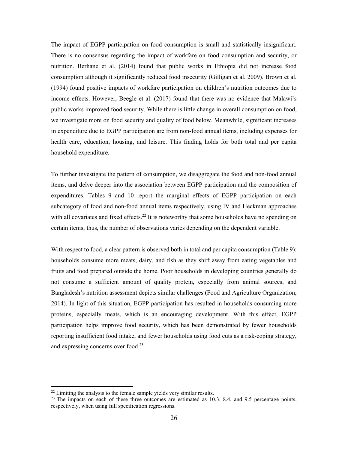The impact of EGPP participation on food consumption is small and statistically insignificant. There is no consensus regarding the impact of workfare on food consumption and security, or nutrition. Berhane et al. (2014) found that public works in Ethiopia did not increase food consumption although it significantly reduced food insecurity (Gilligan et al. 2009). Brown et al. (1994) found positive impacts of workfare participation on children's nutrition outcomes due to income effects. However, Beegle et al. (2017) found that there was no evidence that Malawi's public works improved food security. While there is little change in overall consumption on food, we investigate more on food security and quality of food below. Meanwhile, significant increases in expenditure due to EGPP participation are from non-food annual items, including expenses for health care, education, housing, and leisure. This finding holds for both total and per capita household expenditure.

To further investigate the pattern of consumption, we disaggregate the food and non-food annual items, and delve deeper into the association between EGPP participation and the composition of expenditures. Tables 9 and 10 report the marginal effects of EGPP participation on each subcategory of food and non-food annual items respectively, using IV and Heckman approaches with all covariates and fixed effects.<sup>22</sup> It is noteworthy that some households have no spending on certain items; thus, the number of observations varies depending on the dependent variable.

With respect to food, a clear pattern is observed both in total and per capita consumption (Table 9): households consume more meats, dairy, and fish as they shift away from eating vegetables and fruits and food prepared outside the home. Poor households in developing countries generally do not consume a sufficient amount of quality protein, especially from animal sources, and Bangladesh's nutrition assessment depicts similar challenges (Food and Agriculture Organization, 2014). In light of this situation, EGPP participation has resulted in households consuming more proteins, especially meats, which is an encouraging development. With this effect, EGPP participation helps improve food security, which has been demonstrated by fewer households reporting insufficient food intake, and fewer households using food cuts as a risk-coping strategy, and expressing concerns over food.<sup>23</sup>

 $22$  Limiting the analysis to the female sample yields very similar results.

 $23$  The impacts on each of these three outcomes are estimated as 10.3, 8.4, and 9.5 percentage points, respectively, when using full specification regressions.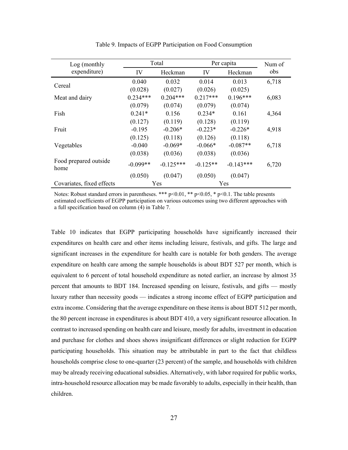| Log (monthly                  |            | Total       | Per capita | Num of      |       |
|-------------------------------|------------|-------------|------------|-------------|-------|
| expenditure)                  | IV         | Heckman     | IV         | Heckman     | obs   |
| Cereal                        | 0.040      | 0.032       | 0.014      | 0.013       | 6,718 |
|                               | (0.028)    | (0.027)     | (0.026)    | (0.025)     |       |
| Meat and dairy                | $0.234***$ | $0.204***$  | $0.217***$ | $0.196***$  | 6,083 |
|                               | (0.079)    | (0.074)     | (0.079)    | (0.074)     |       |
| Fish                          | $0.241*$   | 0.156       | $0.234*$   | 0.161       | 4,364 |
|                               | (0.127)    | (0.119)     | (0.128)    | (0.119)     |       |
| Fruit                         | $-0.195$   | $-0.206*$   | $-0.223*$  | $-0.226*$   | 4,918 |
|                               | (0.125)    | (0.118)     | (0.126)    | (0.118)     |       |
| Vegetables                    | $-0.040$   | $-0.069*$   | $-0.066*$  | $-0.087**$  | 6,718 |
|                               | (0.038)    | (0.036)     | (0.038)    | (0.036)     |       |
| Food prepared outside<br>home | $-0.099**$ | $-0.125***$ | $-0.125**$ | $-0.143***$ | 6,720 |
|                               | (0.050)    | (0.047)     | (0.050)    | (0.047)     |       |
| Covariates, fixed effects     | Yes        |             |            | Yes         |       |

Table 9. Impacts of EGPP Participation on Food Consumption

Notes: Robust standard errors in parentheses. \*\*\* p<0.01, \*\* p<0.05, \* p<0.1. The table presents estimated coefficients of EGPP participation on various outcomes using two different approaches with a full specification based on column (4) in Table 7.

Table 10 indicates that EGPP participating households have significantly increased their expenditures on health care and other items including leisure, festivals, and gifts. The large and significant increases in the expenditure for health care is notable for both genders. The average expenditure on health care among the sample households is about BDT 527 per month, which is equivalent to 6 percent of total household expenditure as noted earlier, an increase by almost 35 percent that amounts to BDT 184. Increased spending on leisure, festivals, and gifts — mostly luxury rather than necessity goods — indicates a strong income effect of EGPP participation and extra income. Considering that the average expenditure on these items is about BDT 512 per month, the 80 percent increase in expenditures is about BDT 410, a very significant resource allocation. In contrast to increased spending on health care and leisure, mostly for adults, investment in education and purchase for clothes and shoes shows insignificant differences or slight reduction for EGPP participating households. This situation may be attributable in part to the fact that childless households comprise close to one-quarter (23 percent) of the sample, and households with children may be already receiving educational subsidies. Alternatively, with labor required for public works, intra-household resource allocation may be made favorably to adults, especially in their health, than children.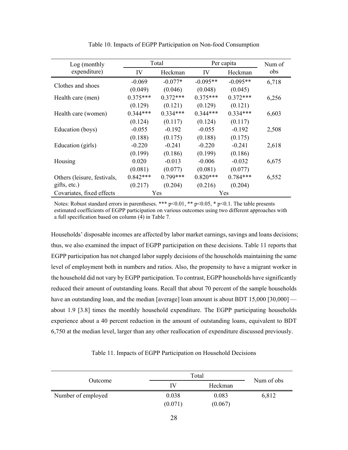| Log (monthly                |            | Total      | Per capita | Num of     |       |
|-----------------------------|------------|------------|------------|------------|-------|
| expenditure)                | IV         | Heckman    | IV         | Heckman    | obs   |
| Clothes and shoes           | $-0.069$   | $-0.077*$  | $-0.095**$ | $-0.095**$ | 6,718 |
|                             | (0.049)    | (0.046)    | (0.048)    | (0.045)    |       |
| Health care (men)           | $0.375***$ | $0.372***$ | $0.375***$ | $0.372***$ | 6,256 |
|                             | (0.129)    | (0.121)    | (0.129)    | (0.121)    |       |
| Health care (women)         | $0.344***$ | $0.334***$ | $0.344***$ | $0.334***$ | 6,603 |
|                             | (0.124)    | (0.117)    | (0.124)    | (0.117)    |       |
| Education (boys)            | $-0.055$   | $-0.192$   | $-0.055$   | $-0.192$   | 2,508 |
|                             | (0.188)    | (0.175)    | (0.188)    | (0.175)    |       |
| Education (girls)           | $-0.220$   | $-0.241$   | $-0.220$   | $-0.241$   | 2,618 |
|                             | (0.199)    | (0.186)    | (0.199)    | (0.186)    |       |
| Housing                     | 0.020      | $-0.013$   | $-0.006$   | $-0.032$   | 6,675 |
|                             | (0.081)    | (0.077)    | (0.081)    | (0.077)    |       |
| Others (leisure, festivals, | $0.842***$ | $0.799***$ | $0.820***$ | $0.784***$ | 6,552 |
| gifts, etc.)                | (0.217)    | (0.204)    | (0.216)    | (0.204)    |       |
| Covariates, fixed effects   |            | Yes        |            | Yes        |       |

Table 10. Impacts of EGPP Participation on Non-food Consumption

Notes: Robust standard errors in parentheses. \*\*\* p<0.01, \*\* p<0.05, \* p<0.1. The table presents estimated coefficients of EGPP participation on various outcomes using two different approaches with a full specification based on column (4) in Table 7.

Households' disposable incomes are affected by labor market earnings, savings and loans decisions; thus, we also examined the impact of EGPP participation on these decisions. Table 11 reports that EGPP participation has not changed labor supply decisions of the households maintaining the same level of employment both in numbers and ratios. Also, the propensity to have a migrant worker in the household did not vary by EGPP participation. To contrast, EGPP households have significantly reduced their amount of outstanding loans. Recall that about 70 percent of the sample households have an outstanding loan, and the median [average] loan amount is about BDT 15,000 [30,000] about 1.9 [3.8] times the monthly household expenditure. The EGPP participating households experience about a 40 percent reduction in the amount of outstanding loans, equivalent to BDT 6,750 at the median level, larger than any other reallocation of expenditure discussed previously.

Table 11. Impacts of EGPP Participation on Household Decisions

|                    |         | Total   |            |  |  |
|--------------------|---------|---------|------------|--|--|
| Outcome            | IV      | Heckman | Num of obs |  |  |
| Number of employed | 0.038   | 0.083   | 6,812      |  |  |
|                    | (0.071) | (0.067) |            |  |  |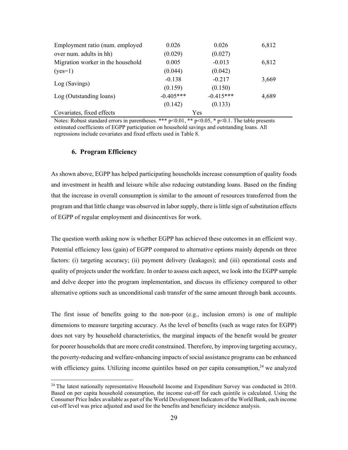| Employment ratio (num. employed   | 0.026       | 0.026       | 6,812 |
|-----------------------------------|-------------|-------------|-------|
| over num. adults in hh)           | (0.029)     | (0.027)     |       |
| Migration worker in the household | 0.005       | $-0.013$    | 6,812 |
| $(yes=1)$                         | (0.044)     | (0.042)     |       |
|                                   | $-0.138$    | $-0.217$    | 3,669 |
| Log (Savings)                     | (0.159)     | (0.150)     |       |
| Log (Outstanding loans)           | $-0.405***$ | $-0.415***$ | 4,689 |
|                                   | (0.142)     | (0.133)     |       |
| Covariates, fixed effects         |             | Yes         |       |

Notes: Robust standard errors in parentheses. \*\*\* p<0.01, \*\* p<0.05, \* p<0.1. The table presents estimated coefficients of EGPP participation on household savings and outstanding loans. All regressions include covariates and fixed effects used in Table 8.

#### **6. Program Efficiency**

 $\overline{a}$ 

As shown above, EGPP has helped participating households increase consumption of quality foods and investment in health and leisure while also reducing outstanding loans. Based on the finding that the increase in overall consumption is similar to the amount of resources transferred from the program and that little change was observed in labor supply, there is little sign of substitution effects of EGPP of regular employment and disincentives for work.

The question worth asking now is whether EGPP has achieved these outcomes in an efficient way. Potential efficiency loss (gain) of EGPP compared to alternative options mainly depends on three factors: (i) targeting accuracy; (ii) payment delivery (leakages); and (iii) operational costs and quality of projects under the workfare. In order to assess each aspect, we look into the EGPP sample and delve deeper into the program implementation, and discuss its efficiency compared to other alternative options such as unconditional cash transfer of the same amount through bank accounts.

The first issue of benefits going to the non-poor (e.g., inclusion errors) is one of multiple dimensions to measure targeting accuracy. As the level of benefits (such as wage rates for EGPP) does not vary by household characteristics, the marginal impacts of the benefit would be greater for poorer households that are more credit constrained. Therefore, by improving targeting accuracy, the poverty-reducing and welfare-enhancing impacts of social assistance programs can be enhanced with efficiency gains. Utilizing income quintiles based on per capita consumption,<sup>24</sup> we analyzed

 $24$  The latest nationally representative Household Income and Expenditure Survey was conducted in 2010. Based on per capita household consumption, the income cut-off for each quintile is calculated. Using the Consumer Price Index available as part of the World Development Indicators of the World Bank, each income cut-off level was price adjusted and used for the benefits and beneficiary incidence analysis.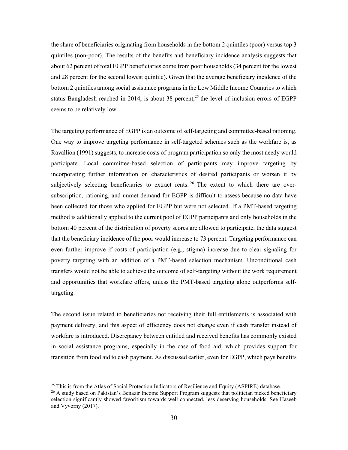the share of beneficiaries originating from households in the bottom 2 quintiles (poor) versus top 3 quintiles (non-poor). The results of the benefits and beneficiary incidence analysis suggests that about 62 percent of total EGPP beneficiaries come from poor households (34 percent for the lowest and 28 percent for the second lowest quintile). Given that the average beneficiary incidence of the bottom 2 quintiles among social assistance programs in the Low Middle Income Countries to which status Bangladesh reached in 2014, is about 38 percent,<sup>25</sup> the level of inclusion errors of EGPP seems to be relatively low.

The targeting performance of EGPP is an outcome of self-targeting and committee-based rationing. One way to improve targeting performance in self-targeted schemes such as the workfare is, as Ravallion (1991) suggests, to increase costs of program participation so only the most needy would participate. Local committee-based selection of participants may improve targeting by incorporating further information on characteristics of desired participants or worsen it by subjectively selecting beneficiaries to extract rents.<sup>26</sup> The extent to which there are oversubscription, rationing, and unmet demand for EGPP is difficult to assess because no data have been collected for those who applied for EGPP but were not selected. If a PMT-based targeting method is additionally applied to the current pool of EGPP participants and only households in the bottom 40 percent of the distribution of poverty scores are allowed to participate, the data suggest that the beneficiary incidence of the poor would increase to 73 percent. Targeting performance can even further improve if costs of participation (e.g., stigma) increase due to clear signaling for poverty targeting with an addition of a PMT-based selection mechanism. Unconditional cash transfers would not be able to achieve the outcome of self-targeting without the work requirement and opportunities that workfare offers, unless the PMT-based targeting alone outperforms selftargeting.

The second issue related to beneficiaries not receiving their full entitlements is associated with payment delivery, and this aspect of efficiency does not change even if cash transfer instead of workfare is introduced. Discrepancy between entitled and received benefits has commonly existed in social assistance programs, especially in the case of food aid, which provides support for transition from food aid to cash payment. As discussed earlier, even for EGPP, which pays benefits

 $^{25}$  This is from the Atlas of Social Protection Indicators of Resilience and Equity (ASPIRE) database.

 $^{26}$  A study based on Pakistan's Benazir Income Support Program suggests that politician picked beneficiary selection significantly showed favoritism towards well connected, less deserving households. See Haseeb and Vyvorny (2017).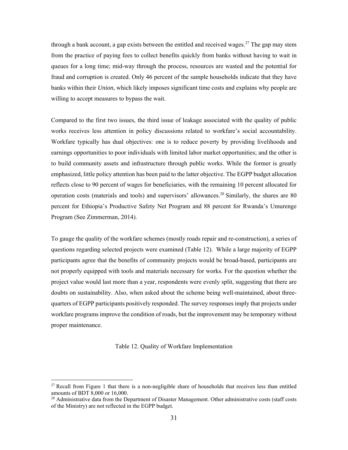through a bank account, a gap exists between the entitled and received wages.<sup>27</sup> The gap may stem from the practice of paying fees to collect benefits quickly from banks without having to wait in queues for a long time; mid-way through the process, resources are wasted and the potential for fraud and corruption is created. Only 46 percent of the sample households indicate that they have banks within their *Union*, which likely imposes significant time costs and explains why people are willing to accept measures to bypass the wait.

Compared to the first two issues, the third issue of leakage associated with the quality of public works receives less attention in policy discussions related to workfare's social accountability. Workfare typically has dual objectives: one is to reduce poverty by providing livelihoods and earnings opportunities to poor individuals with limited labor market opportunities; and the other is to build community assets and infrastructure through public works. While the former is greatly emphasized, little policy attention has been paid to the latter objective. The EGPP budget allocation reflects close to 90 percent of wages for beneficiaries, with the remaining 10 percent allocated for operation costs (materials and tools) and supervisors' allowances.<sup>28</sup> Similarly, the shares are 80 percent for Ethiopia's Productive Safety Net Program and 88 percent for Rwanda's Umurenge Program (See Zimmerman, 2014).

To gauge the quality of the workfare schemes (mostly roads repair and re-construction), a series of questions regarding selected projects were examined (Table 12). While a large majority of EGPP participants agree that the benefits of community projects would be broad-based, participants are not properly equipped with tools and materials necessary for works. For the question whether the project value would last more than a year, respondents were evenly split, suggesting that there are doubts on sustainability. Also, when asked about the scheme being well-maintained, about threequarters of EGPP participants positively responded. The survey responses imply that projects under workfare programs improve the condition of roads, but the improvement may be temporary without proper maintenance.

Table 12. Quality of Workfare Implementation

 $27$  Recall from Figure 1 that there is a non-negligible share of households that receives less than entitled amounts of BDT 8,000 or 16,000.

 $^{28}$  Administrative data from the Department of Disaster Management. Other administrative costs (staff costs of the Ministry) are not reflected in the EGPP budget.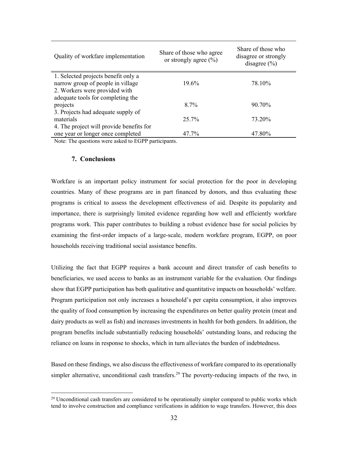| Quality of workfare implementation       | Share of those who agree<br>or strongly agree $(\% )$ | Share of those who<br>disagree or strongly<br>disagree $(\% )$ |
|------------------------------------------|-------------------------------------------------------|----------------------------------------------------------------|
| 1. Selected projects benefit only a      |                                                       |                                                                |
| narrow group of people in village        | 19.6%                                                 | 78.10%                                                         |
| 2. Workers were provided with            |                                                       |                                                                |
| adequate tools for completing the        |                                                       |                                                                |
| projects                                 | $8.7\%$                                               | 90.70%                                                         |
| 3. Projects had adequate supply of       |                                                       |                                                                |
| materials                                | 25.7%                                                 | 73.20%                                                         |
| 4. The project will provide benefits for |                                                       |                                                                |
| one year or longer once completed        | 47.7%                                                 | 47.80%                                                         |
|                                          |                                                       |                                                                |

Note: The questions were asked to EGPP participants.

#### **7. Conclusions**

 $\overline{a}$ 

Workfare is an important policy instrument for social protection for the poor in developing countries. Many of these programs are in part financed by donors, and thus evaluating these programs is critical to assess the development effectiveness of aid. Despite its popularity and importance, there is surprisingly limited evidence regarding how well and efficiently workfare programs work. This paper contributes to building a robust evidence base for social policies by examining the first-order impacts of a large-scale, modern workfare program, EGPP, on poor households receiving traditional social assistance benefits.

Utilizing the fact that EGPP requires a bank account and direct transfer of cash benefits to beneficiaries, we used access to banks as an instrument variable for the evaluation. Our findings show that EGPP participation has both qualitative and quantitative impacts on households' welfare. Program participation not only increases a household's per capita consumption, it also improves the quality of food consumption by increasing the expenditures on better quality protein (meat and dairy products as well as fish) and increases investments in health for both genders. In addition, the program benefits include substantially reducing households' outstanding loans, and reducing the reliance on loans in response to shocks, which in turn alleviates the burden of indebtedness.

Based on these findings, we also discuss the effectiveness of workfare compared to its operationally simpler alternative, unconditional cash transfers.<sup>29</sup> The poverty-reducing impacts of the two, in

 $29$  Unconditional cash transfers are considered to be operationally simpler compared to public works which tend to involve construction and compliance verifications in addition to wage transfers. However, this does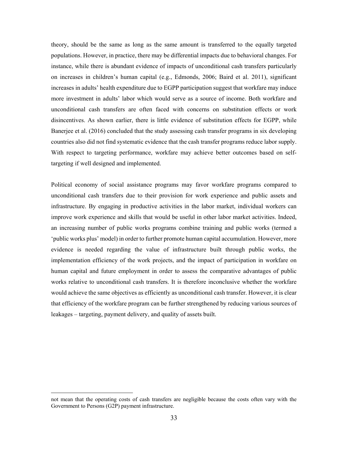theory, should be the same as long as the same amount is transferred to the equally targeted populations. However, in practice, there may be differential impacts due to behavioral changes. For instance, while there is abundant evidence of impacts of unconditional cash transfers particularly on increases in children's human capital (e.g., Edmonds, 2006; Baird et al. 2011), significant increases in adults' health expenditure due to EGPP participation suggest that workfare may induce more investment in adults' labor which would serve as a source of income. Both workfare and unconditional cash transfers are often faced with concerns on substitution effects or work disincentives. As shown earlier, there is little evidence of substitution effects for EGPP, while Banerjee et al. (2016) concluded that the study assessing cash transfer programs in six developing countries also did not find systematic evidence that the cash transfer programs reduce labor supply. With respect to targeting performance, workfare may achieve better outcomes based on selftargeting if well designed and implemented.

Political economy of social assistance programs may favor workfare programs compared to unconditional cash transfers due to their provision for work experience and public assets and infrastructure. By engaging in productive activities in the labor market, individual workers can improve work experience and skills that would be useful in other labor market activities. Indeed, an increasing number of public works programs combine training and public works (termed a 'public works plus' model) in order to further promote human capital accumulation. However, more evidence is needed regarding the value of infrastructure built through public works, the implementation efficiency of the work projects, and the impact of participation in workfare on human capital and future employment in order to assess the comparative advantages of public works relative to unconditional cash transfers. It is therefore inconclusive whether the workfare would achieve the same objectives as efficiently as unconditional cash transfer. However, it is clear that efficiency of the workfare program can be further strengthened by reducing various sources of leakages – targeting, payment delivery, and quality of assets built.

not mean that the operating costs of cash transfers are negligible because the costs often vary with the Government to Persons (G2P) payment infrastructure.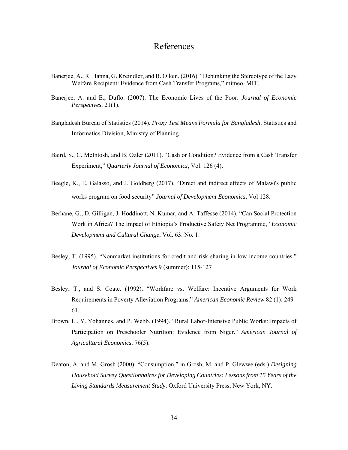# References

- Banerjee, A., R. Hanna, G. Kreindler, and B. Olken. (2016). "Debunking the Stereotype of the Lazy Welfare Recipient: Evidence from Cash Transfer Programs," mimeo, MIT.
- Banerjee, A. and E., Duflo. (2007). The Economic Lives of the Poor. *Journal of Economic Perspecives*. 21(1).
- Bangladesh Bureau of Statistics (2014). *Proxy Test Means Formula for Bangladesh*, Statistics and Informatics Division, Ministry of Planning.
- Baird, S., C. McIntosh, and B. Ozler (2011). "Cash or Condition? Evidence from a Cash Transfer Experiment," *Quarterly Journal of Economics*, Vol. 126 (4).
- Beegle, K., E. Galasso, and J. Goldberg (2017). "Direct and indirect effects of Malawi's public works program on food security" *Journal of Development Economics*, Vol 128.
- Berhane, G., D. Gilligan, J. Hoddinott, N. Kumar, and A. Taffesse (2014). "Can Social Protection Work in Africa? The Impact of Ethiopia's Productive Safety Net Programme," *Economic Development and Cultural Change*, Vol. 63. No. 1.
- Besley, T. (1995). "Nonmarket institutions for credit and risk sharing in low income countries." *Journal of Economic Perspectives* 9 (summer): 115-127
- Besley, T., and S. Coate. (1992). "Workfare vs. Welfare: Incentive Arguments for Work Requirements in Poverty Alleviation Programs." *American Economic Review* 82 (1): 249– 61.
- Brown, L., Y. Yohannes, and P. Webb. (1994). "Rural Labor-Intensive Public Works: Impacts of Participation on Preschooler Nutrition: Evidence from Niger." *American Journal of Agricultural Economics*. 76(5).
- Deaton, A. and M. Grosh (2000). "Consumption," in Grosh, M. and P. Glewwe (eds.) *Designing Household Survey Questionnaires for Developing Countries: Lessons from 15 Years of the Living Standards Measurement Study,* Oxford University Press, New York, NY.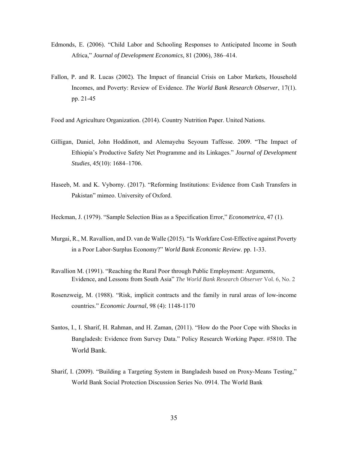- Edmonds, E. (2006). "Child Labor and Schooling Responses to Anticipated Income in South Africa," *Journal of Development Economics*, 81 (2006), 386–414.
- Fallon, P. and R. Lucas (2002). The Impact of financial Crisis on Labor Markets, Household Incomes, and Poverty: Review of Evidence. *The World Bank Research Observer*, 17(1). pp. 21-45

Food and Agriculture Organization. (2014). Country Nutrition Paper. United Nations.

- Gilligan, Daniel, John Hoddinott, and Alemayehu Seyoum Taffesse. 2009. "The Impact of Ethiopia's Productive Safety Net Programme and its Linkages." *Journal of Development Studies*, 45(10): 1684–1706.
- Haseeb, M. and K. Vyborny. (2017). "Reforming Institutions: Evidence from Cash Transfers in Pakistan" mimeo. University of Oxford.

Heckman, J. (1979). "Sample Selection Bias as a Specification Error," *Econometrica*, 47 (1).

- Murgai, R., M. Ravallion, and D. van de Walle (2015). "Is Workfare Cost-Effective against Poverty in a Poor Labor-Surplus Economy?" *World Bank Economic Review*. pp. 1-33.
- Ravallion M. (1991). "Reaching the Rural Poor through Public Employment: Arguments, Evidence, and Lessons from South Asia" *The World Bank Research Observer* Vol. 6, No. 2
- Rosenzweig, M. (1988). "Risk, implicit contracts and the family in rural areas of low-income countries." *Economic Journal*, 98 (4): 1148-1170
- Santos, I., I. Sharif, H. Rahman, and H. Zaman, (2011). "How do the Poor Cope with Shocks in Bangladesh: Evidence from Survey Data." Policy Research Working Paper. #5810. The World Bank.
- Sharif, I. (2009). "Building a Targeting System in Bangladesh based on Proxy-Means Testing," World Bank Social Protection Discussion Series No. 0914. The World Bank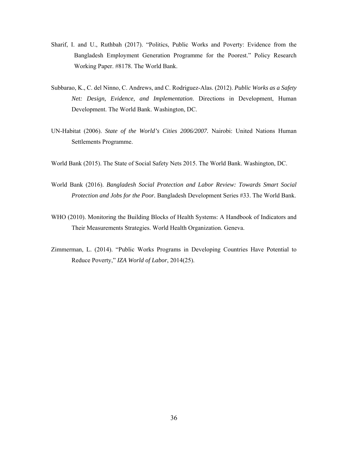- Sharif, I. and U., Ruthbah (2017). "Politics, Public Works and Poverty: Evidence from the Bangladesh Employment Generation Programme for the Poorest." Policy Research Working Paper. #8178. The World Bank.
- Subbarao, K., C. del Ninno, C. Andrews, and C. Rodriguez-Alas. (2012). *Public Works as a Safety Net: Design, Evidence, and Implementation*. Directions in Development, Human Development. The World Bank. Washington, DC.
- UN-Habitat (2006). *State of the World's Cities 2006/2007.* Nairobi: United Nations Human Settlements Programme.
- World Bank (2015). The State of Social Safety Nets 2015. The World Bank. Washington, DC.
- World Bank (2016). *Bangladesh Social Protection and Labor Review: Towards Smart Social Protection and Jobs for the Poor.* Bangladesh Development Series #33. The World Bank.
- WHO (2010). Monitoring the Building Blocks of Health Systems: A Handbook of Indicators and Their Measurements Strategies. World Health Organization. Geneva.
- Zimmerman, L. (2014). "Public Works Programs in Developing Countries Have Potential to Reduce Poverty," *IZA World of Labor*, 2014(25).